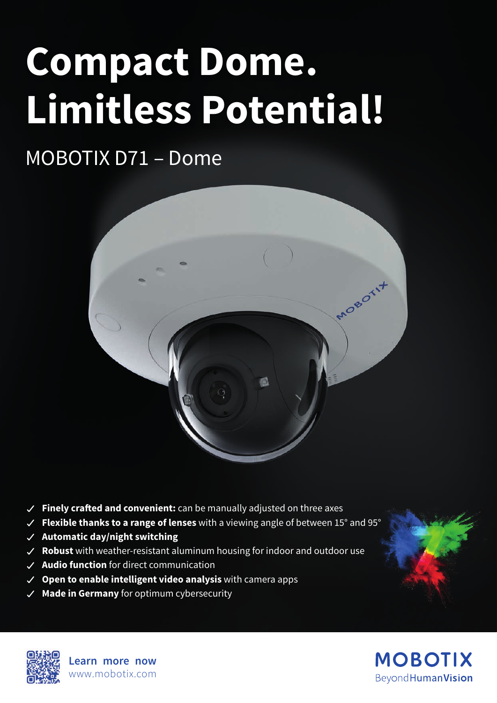# **Compact Dome. Limitless Potential!**

# MOBOTIX D71 – Dome



- **Finely crafted and convenient:** can be manually adjusted on three axes
- **Flexible thanks to a range of lenses** with a viewing angle of between 15° and 95°
- **Automatic day/night switching**
- **Robust** with weather-resistant aluminum housing for indoor and outdoor use
- **Audio function** for direct communication
- **Open to enable intelligent video analysis** with camera apps
- **Made in Germany** for optimum cybersecurity



**Learn more now** www.mobotix.com